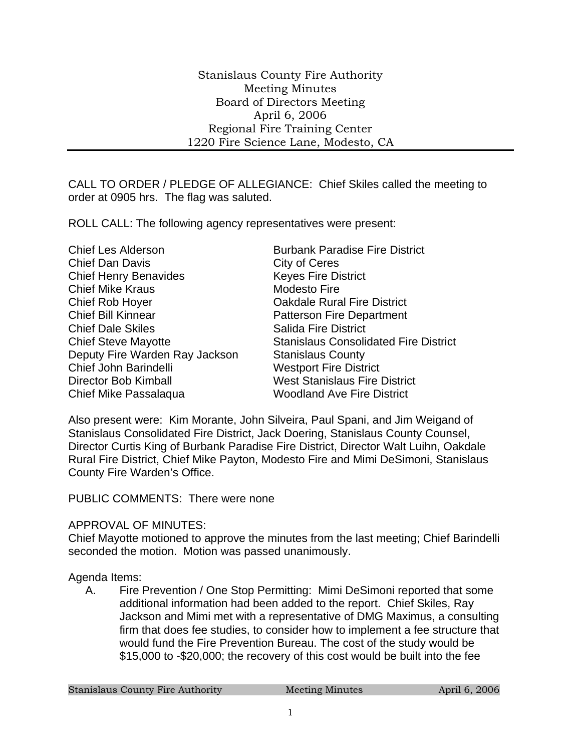CALL TO ORDER / PLEDGE OF ALLEGIANCE: Chief Skiles called the meeting to order at 0905 hrs. The flag was saluted.

ROLL CALL: The following agency representatives were present:

Chief Les Alderson Burbank Paradise Fire District Chief Dan Davis Chief Of Dan Davis Chief Henry Benavides Keyes Fire District Chief Mike Kraus **Modesto Fire** Chief Rob Hoyer Oakdale Rural Fire District Chief Bill Kinnear **Patterson Fire Department Chief Dale Skiles Salida Fire District** Chief Steve Mayotte **Stanislaus Consolidated Fire District** Deputy Fire Warden Ray Jackson Stanislaus County Chief John Barindelli Westport Fire District Director Bob Kimball West Stanislaus Fire District Chief Mike Passalaqua Woodland Ave Fire District

Also present were: Kim Morante, John Silveira, Paul Spani, and Jim Weigand of Stanislaus Consolidated Fire District, Jack Doering, Stanislaus County Counsel, Director Curtis King of Burbank Paradise Fire District, Director Walt Luihn, Oakdale Rural Fire District, Chief Mike Payton, Modesto Fire and Mimi DeSimoni, Stanislaus County Fire Warden's Office.

PUBLIC COMMENTS: There were none

## APPROVAL OF MINUTES:

Chief Mayotte motioned to approve the minutes from the last meeting; Chief Barindelli seconded the motion. Motion was passed unanimously.

## Agenda Items:

A. Fire Prevention / One Stop Permitting: Mimi DeSimoni reported that some additional information had been added to the report. Chief Skiles, Ray Jackson and Mimi met with a representative of DMG Maximus, a consulting firm that does fee studies, to consider how to implement a fee structure that would fund the Fire Prevention Bureau. The cost of the study would be \$15,000 to -\$20,000; the recovery of this cost would be built into the fee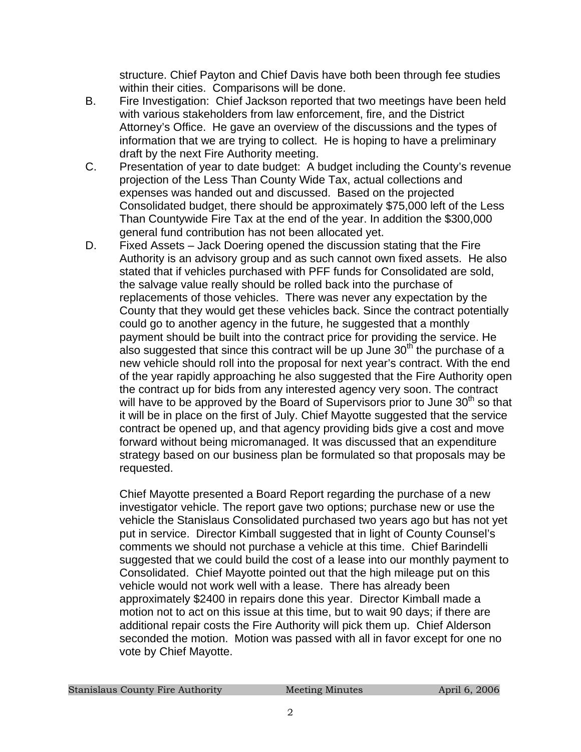structure. Chief Payton and Chief Davis have both been through fee studies within their cities. Comparisons will be done.

- B. Fire Investigation: Chief Jackson reported that two meetings have been held with various stakeholders from law enforcement, fire, and the District Attorney's Office. He gave an overview of the discussions and the types of information that we are trying to collect. He is hoping to have a preliminary draft by the next Fire Authority meeting.
- C. Presentation of year to date budget: A budget including the County's revenue projection of the Less Than County Wide Tax, actual collections and expenses was handed out and discussed. Based on the projected Consolidated budget, there should be approximately \$75,000 left of the Less Than Countywide Fire Tax at the end of the year. In addition the \$300,000 general fund contribution has not been allocated yet.
- D. Fixed Assets Jack Doering opened the discussion stating that the Fire Authority is an advisory group and as such cannot own fixed assets. He also stated that if vehicles purchased with PFF funds for Consolidated are sold, the salvage value really should be rolled back into the purchase of replacements of those vehicles. There was never any expectation by the County that they would get these vehicles back. Since the contract potentially could go to another agency in the future, he suggested that a monthly payment should be built into the contract price for providing the service. He also suggested that since this contract will be up June  $30<sup>th</sup>$  the purchase of a new vehicle should roll into the proposal for next year's contract. With the end of the year rapidly approaching he also suggested that the Fire Authority open the contract up for bids from any interested agency very soon. The contract will have to be approved by the Board of Supervisors prior to June  $30<sup>th</sup>$  so that it will be in place on the first of July. Chief Mayotte suggested that the service contract be opened up, and that agency providing bids give a cost and move forward without being micromanaged. It was discussed that an expenditure strategy based on our business plan be formulated so that proposals may be requested.

Chief Mayotte presented a Board Report regarding the purchase of a new investigator vehicle. The report gave two options; purchase new or use the vehicle the Stanislaus Consolidated purchased two years ago but has not yet put in service. Director Kimball suggested that in light of County Counsel's comments we should not purchase a vehicle at this time. Chief Barindelli suggested that we could build the cost of a lease into our monthly payment to Consolidated. Chief Mayotte pointed out that the high mileage put on this vehicle would not work well with a lease. There has already been approximately \$2400 in repairs done this year. Director Kimball made a motion not to act on this issue at this time, but to wait 90 days; if there are additional repair costs the Fire Authority will pick them up. Chief Alderson seconded the motion. Motion was passed with all in favor except for one no vote by Chief Mayotte.